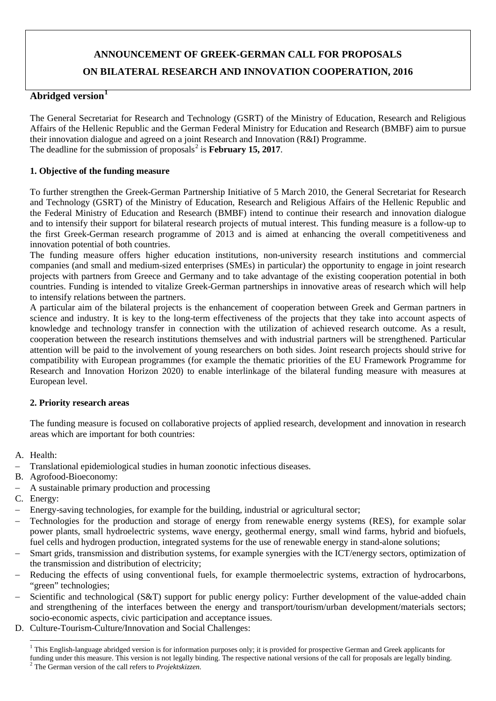# **ANNOUNCEMENT OF GREEK-GERMAN CALL FOR PROPOSALS ON BILATERAL RESEARCH AND INNOVATION COOPERATION, 2016**

# **Abridged version[1](#page-0-0)**

The General Secretariat for Research and Technology (GSRT) of the Ministry of Education, Research and Religious Affairs of the Hellenic Republic and the German Federal Ministry for Education and Research (BMBF) aim to pursue their innovation dialogue and agreed on a joint Research and Innovation (R&I) Programme. The deadline for the submission of proposals<sup>[2](#page-0-1)</sup> is **February 15, 2017**.

## **1. Objective of the funding measure**

To further strengthen the Greek-German Partnership Initiative of 5 March 2010, the General Secretariat for Research and Technology (GSRT) of the Ministry of Education, Research and Religious Affairs of the Hellenic Republic and the Federal Ministry of Education and Research (BMBF) intend to continue their research and innovation dialogue and to intensify their support for bilateral research projects of mutual interest. This funding measure is a follow-up to the first Greek-German research programme of 2013 and is aimed at enhancing the overall competitiveness and innovation potential of both countries.

The funding measure offers higher education institutions, non-university research institutions and commercial companies (and small and medium-sized enterprises (SMEs) in particular) the opportunity to engage in joint research projects with partners from Greece and Germany and to take advantage of the existing cooperation potential in both countries. Funding is intended to vitalize Greek-German partnerships in innovative areas of research which will help to intensify relations between the partners.

A particular aim of the bilateral projects is the enhancement of cooperation between Greek and German partners in science and industry. It is key to the long-term effectiveness of the projects that they take into account aspects of knowledge and technology transfer in connection with the utilization of achieved research outcome. As a result, cooperation between the research institutions themselves and with industrial partners will be strengthened. Particular attention will be paid to the involvement of young researchers on both sides. Joint research projects should strive for compatibility with European programmes (for example the thematic priorities of the EU Framework Programme for Research and Innovation Horizon 2020) to enable interlinkage of the bilateral funding measure with measures at European level.

#### **2. Priority research areas**

The funding measure is focused on collaborative projects of applied research, development and innovation in research areas which are important for both countries:

- A. Health:
- Translational epidemiological studies in human zoonotic infectious diseases.
- B. Agrofood-Bioeconomy:
- − A sustainable primary production and processing
- C. Energy:
- Energy-saving technologies, for example for the building, industrial or agricultural sector;
- − Technologies for the production and storage of energy from renewable energy systems (RES), for example solar power plants, small hydroelectric systems, wave energy, geothermal energy, small wind farms, hybrid and biofuels, fuel cells and hydrogen production, integrated systems for the use of renewable energy in stand-alone solutions;
- Smart grids, transmission and distribution systems, for example synergies with the ICT/energy sectors, optimization of the transmission and distribution of electricity;
- Reducing the effects of using conventional fuels, for example thermoelectric systems, extraction of hydrocarbons, "green" technologies;
- Scientific and technological (S&T) support for public energy policy: Further development of the value-added chain and strengthening of the interfaces between the energy and transport/tourism/urban development/materials sectors; socio-economic aspects, civic participation and acceptance issues.
- <span id="page-0-0"></span>D. Culture-Tourism-Culture/Innovation and Social Challenges:

<span id="page-0-1"></span><sup>&</sup>lt;sup>1</sup> This English-language abridged version is for information purposes only; it is provided for prospective German and Greek applicants for funding under this measure. This version is not legally binding. The respective national versions of the call for proposals are legally binding. <sup>2</sup> The German version of the call refers to *Projektskizzen.* <u>.</u>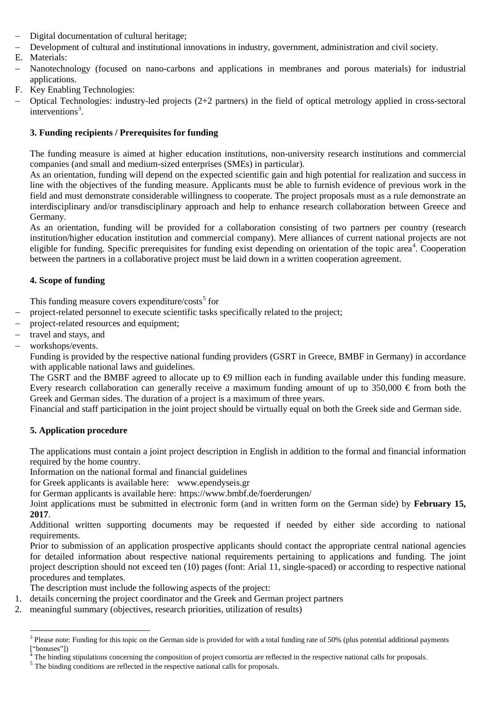- − Digital documentation of cultural heritage;
- − Development of cultural and institutional innovations in industry, government, administration and civil society.
- E. Materials:
- − Nanotechnology (focused on nano-carbons and applications in membranes and porous materials) for industrial applications.
- F. Key Enabling Technologies:
- − Optical Technologies: industry-led projects (2+2 partners) in the field of optical metrology applied in cross-sectoral interventions [3](#page-1-0) .

## **3. Funding recipients / Prerequisites for funding**

The funding measure is aimed at higher education institutions, non-university research institutions and commercial companies (and small and medium-sized enterprises (SMEs) in particular).

As an orientation, funding will depend on the expected scientific gain and high potential for realization and success in line with the objectives of the funding measure. Applicants must be able to furnish evidence of previous work in the field and must demonstrate considerable willingness to cooperate. The project proposals must as a rule demonstrate an interdisciplinary and/or transdisciplinary approach and help to enhance research collaboration between Greece and Germany.

As an orientation, funding will be provided for a collaboration consisting of two partners per country (research institution/higher education institution and commercial company). Mere alliances of current national projects are not eligible for funding. Specific prerequisites for funding exist depending on orientation of the topic area<sup>[4](#page-1-1)</sup>. Cooperation between the partners in a collaborative project must be laid down in a written cooperation agreement.

## **4. Scope of funding**

This funding measure covers expenditure/ $\cos s^5$  $\cos s^5$  for

- project-related personnel to execute scientific tasks specifically related to the project;
- project-related resources and equipment;
- − travel and stays, and
- − workshops/events.

Funding is provided by the respective national funding providers (GSRT in Greece, BMBF in Germany) in accordance with applicable national laws and guidelines.

The GSRT and the BMBF agreed to allocate up to  $\bigoplus$  million each in funding available under this funding measure. Every research collaboration can generally receive a maximum funding amount of up to  $350,000 \in$  from both the Greek and German sides. The duration of a project is a maximum of three years.

Financial and staff participation in the joint project should be virtually equal on both the Greek side and German side.

# **5. Application procedure**

The applications must contain a joint project description in English in addition to the formal and financial information required by the home country.

Information on the national formal and financial guidelines

for Greek applicants is available here: [www.ependyseis.gr](http://www.ependyseis.gr/)

for German applicants is available here: https://www.bmbf.de/foerderungen/

Joint applications must be submitted in electronic form (and in written form on the German side) by **February 15, 2017**.

Additional written supporting documents may be requested if needed by either side according to national requirements.

Prior to submission of an application prospective applicants should contact the appropriate central national agencies for detailed information about respective national requirements pertaining to applications and funding. The joint project description should not exceed ten (10) pages (font: Arial 11, single-spaced) or according to respective national procedures and templates.

The description must include the following aspects of the project:

- 1. details concerning the project coordinator and the Greek and German project partners
- 2. meaningful summary (objectives, research priorities, utilization of results)

<span id="page-1-0"></span><sup>&</sup>lt;sup>3</sup> Please note: Funding for this topic on the German side is provided for with a total funding rate of 50% (plus potential additional payments <u>.</u>

<span id="page-1-1"></span><sup>[&</sup>quot;bonuses"])<br><sup>4</sup> The binding stipulations concerning the composition of project consortia are reflected in the respective national calls for proposals.<br><sup>5</sup> The binding conditions are reflected in the respective national c

<span id="page-1-2"></span>